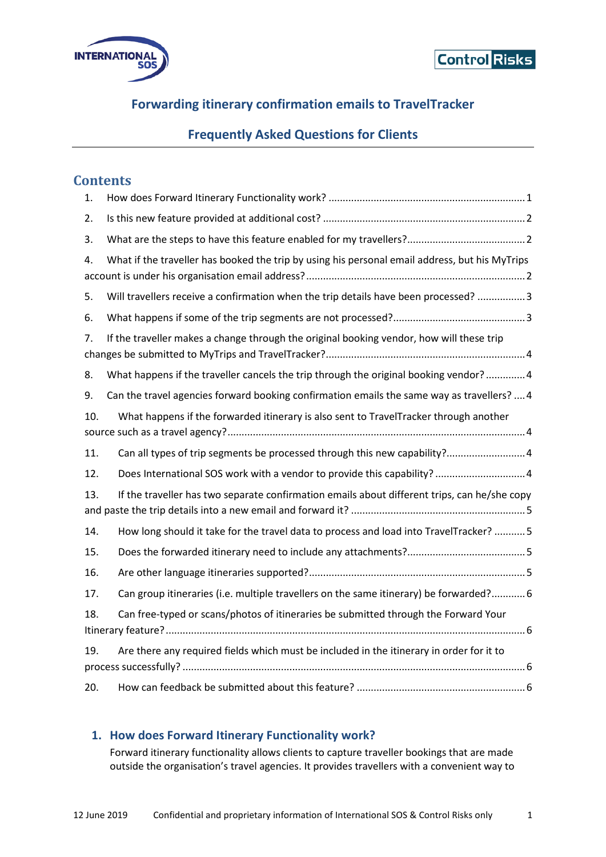



# **Forwarding itinerary confirmation emails to TravelTracker**

## **Frequently Asked Questions for Clients**

### **Contents**

| 1.  |                                                                                                |
|-----|------------------------------------------------------------------------------------------------|
| 2.  |                                                                                                |
| 3.  |                                                                                                |
| 4.  | What if the traveller has booked the trip by using his personal email address, but his MyTrips |
| 5.  | Will travellers receive a confirmation when the trip details have been processed?  3           |
| 6.  |                                                                                                |
| 7.  | If the traveller makes a change through the original booking vendor, how will these trip       |
| 8.  | What happens if the traveller cancels the trip through the original booking vendor?4           |
| 9.  | Can the travel agencies forward booking confirmation emails the same way as travellers?  4     |
| 10. | What happens if the forwarded itinerary is also sent to TravelTracker through another          |
| 11. | Can all types of trip segments be processed through this new capability?4                      |
| 12. | Does International SOS work with a vendor to provide this capability?  4                       |
| 13. | If the traveller has two separate confirmation emails about different trips, can he/she copy   |
| 14. | How long should it take for the travel data to process and load into TravelTracker?  5         |
| 15. |                                                                                                |
| 16. |                                                                                                |
| 17. | Can group itineraries (i.e. multiple travellers on the same itinerary) be forwarded? 6         |
| 18. | Can free-typed or scans/photos of itineraries be submitted through the Forward Your            |
| 19. | Are there any required fields which must be included in the itinerary in order for it to       |
| 20. |                                                                                                |

#### <span id="page-0-0"></span>**1. How does Forward Itinerary Functionality work?**

Forward itinerary functionality allows clients to capture traveller bookings that are made outside the organisation's travel agencies. It provides travellers with a convenient way to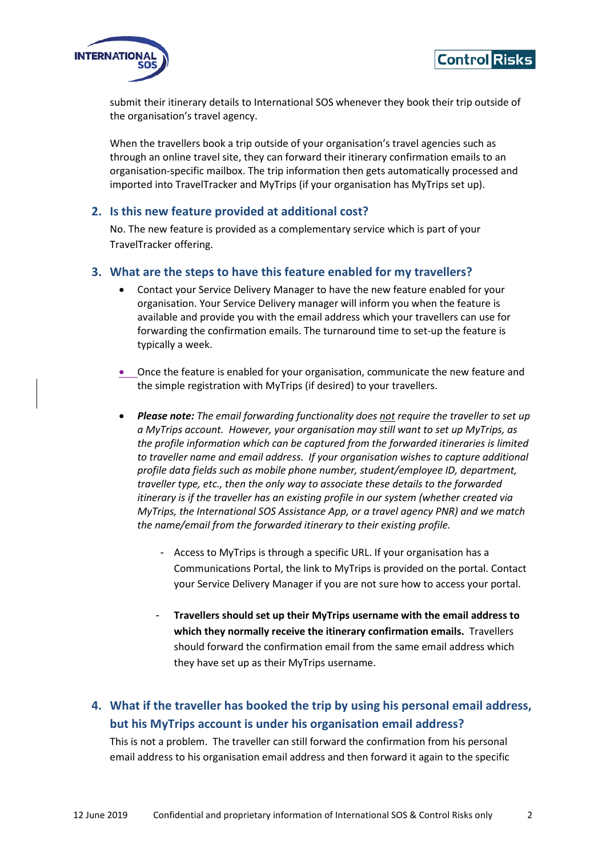



submit their itinerary details to International SOS whenever they book their trip outside of the organisation's travel agency.

When the travellers book a trip outside of your organisation's travel agencies such as through an online travel site, they can forward their itinerary confirmation emails to an organisation-specific mailbox. The trip information then gets automatically processed and imported into TravelTracker and MyTrips (if your organisation has MyTrips set up).

#### <span id="page-1-0"></span>**2. Is this new feature provided at additional cost?**

No. The new feature is provided as a complementary service which is part of your TravelTracker offering.

#### <span id="page-1-1"></span>**3. What are the steps to have this feature enabled for my travellers?**

- Contact your Service Delivery Manager to have the new feature enabled for your organisation. Your Service Delivery manager will inform you when the feature is available and provide you with the email address which your travellers can use for forwarding the confirmation emails. The turnaround time to set-up the feature is typically a week.
- Once the feature is enabled for your organisation, communicate the new feature and the simple registration with MyTrips (if desired) to your travellers.
- *Please note: The email forwarding functionality does not require the traveller to set up a MyTrips account. However, your organisation may still want to set up MyTrips, as the profile information which can be captured from the forwarded itineraries is limited to traveller name and email address. If your organisation wishes to capture additional profile data fields such as mobile phone number, student/employee ID, department, traveller type, etc., then the only way to associate these details to the forwarded itinerary is if the traveller has an existing profile in our system (whether created via MyTrips, the International SOS Assistance App, or a travel agency PNR) and we match the name/email from the forwarded itinerary to their existing profile.*
	- Access to MyTrips is through a specific URL. If your organisation has a Communications Portal, the link to MyTrips is provided on the portal. Contact your Service Delivery Manager if you are not sure how to access your portal.
	- **Travellers should set up their MyTrips username with the email address to which they normally receive the itinerary confirmation emails.** Travellers should forward the confirmation email from the same email address which they have set up as their MyTrips username.

# <span id="page-1-2"></span>**4. What if the traveller has booked the trip by using his personal email address, but his MyTrips account is under his organisation email address?**

This is not a problem. The traveller can still forward the confirmation from his personal email address to his organisation email address and then forward it again to the specific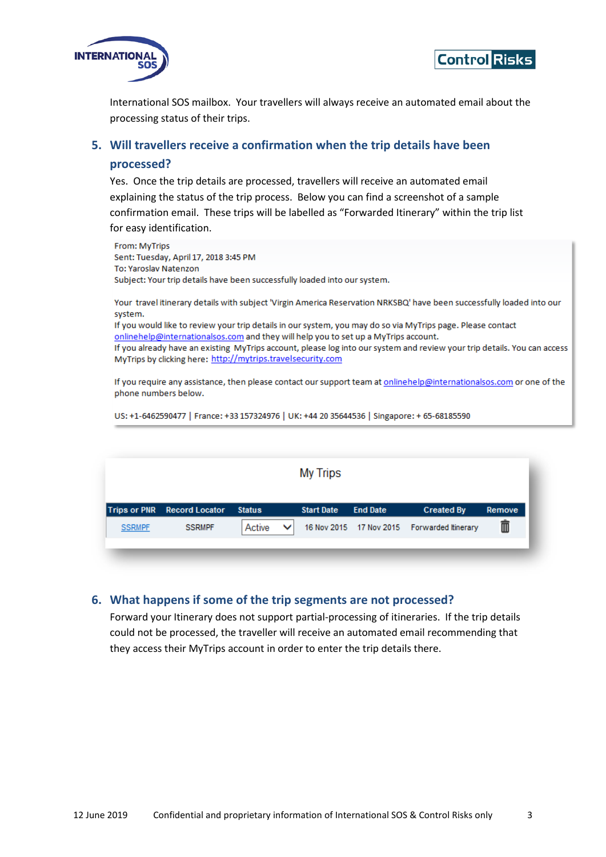



International SOS mailbox. Your travellers will always receive an automated email about the processing status of their trips.

# <span id="page-2-0"></span>**5. Will travellers receive a confirmation when the trip details have been**

#### **processed?**

Yes. Once the trip details are processed, travellers will receive an automated email explaining the status of the trip process. Below you can find a screenshot of a sample confirmation email. These trips will be labelled as "Forwarded Itinerary" within the trip list for easy identification.

| From: MyTrips                                                                                                                                                                                                                                   |
|-------------------------------------------------------------------------------------------------------------------------------------------------------------------------------------------------------------------------------------------------|
| Sent: Tuesday, April 17, 2018 3:45 PM                                                                                                                                                                                                           |
| To: Yaroslav Natenzon                                                                                                                                                                                                                           |
| Subject: Your trip details have been successfully loaded into our system.                                                                                                                                                                       |
| Your travel itinerary details with subject 'Virgin America Reservation NRKSBQ' have been successfully loaded into our<br>system.<br>If you would like to review your trip details in our system, you may do so via MyTrips page. Please contact |
| onlinehelp@internationalsos.com and they will help you to set up a MyTrips account.                                                                                                                                                             |
| If you already have an existing MyTrips account, please log into our system and review your trip details. You can access<br>MyTrips by clicking here: http://mytrips.travelsecurity.com                                                         |
|                                                                                                                                                                                                                                                 |

If you require any assistance, then please contact our support team at onlinehelp@internationalsos.com or one of the phone numbers below.

US: +1-6462590477 | France: +33 157324976 | UK: +44 20 35644536 | Singapore: + 65-68185590

|               |                             |                        | <b>My Trips</b>   |                 |                                             |        |
|---------------|-----------------------------|------------------------|-------------------|-----------------|---------------------------------------------|--------|
|               | Trips or PNR Record Locator | <b>Status</b>          | <b>Start Date</b> | <b>End Date</b> | <b>Created By</b>                           | Remove |
| <b>SSRMPF</b> | <b>SSRMPF</b>               | Active<br>$\checkmark$ |                   |                 | 16 Nov 2015 17 Nov 2015 Forwarded Itinerary | ▥      |
|               |                             |                        |                   |                 |                                             |        |

#### <span id="page-2-1"></span>**6. What happens if some of the trip segments are not processed?**

Forward your Itinerary does not support partial-processing of itineraries. If the trip details could not be processed, the traveller will receive an automated email recommending that they access their MyTrips account in order to enter the trip details there.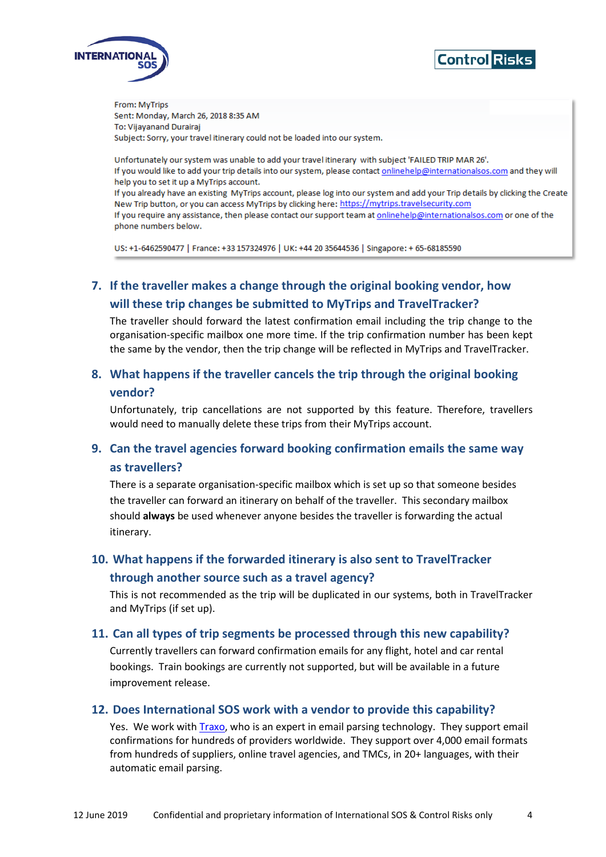



From: MyTrips Sent: Monday, March 26, 2018 8:35 AM To: Vijayanand Durairaj Subject: Sorry, your travel itinerary could not be loaded into our system.

Unfortunately our system was unable to add your travel itinerary with subject 'FAILED TRIP MAR 26'. If you would like to add your trip details into our system, please contact onlinehelp@internationalsos.com and they will help you to set it up a MyTrips account.

If you already have an existing MyTrips account, please log into our system and add your Trip details by clicking the Create New Trip button, or you can access MyTrips by clicking here: https://mytrips.travelsecurity.com If you require any assistance, then please contact our support team at onlinehelp@internationalsos.com or one of the phone numbers below.

US: +1-6462590477 | France: +33 157324976 | UK: +44 20 35644536 | Singapore: +65-68185590

# <span id="page-3-0"></span>**7. If the traveller makes a change through the original booking vendor, how will these trip changes be submitted to MyTrips and TravelTracker?**

The traveller should forward the latest confirmation email including the trip change to the organisation-specific mailbox one more time. If the trip confirmation number has been kept the same by the vendor, then the trip change will be reflected in MyTrips and TravelTracker.

### <span id="page-3-1"></span>**8. What happens if the traveller cancels the trip through the original booking vendor?**

Unfortunately, trip cancellations are not supported by this feature. Therefore, travellers would need to manually delete these trips from their MyTrips account.

### <span id="page-3-2"></span>**9. Can the travel agencies forward booking confirmation emails the same way as travellers?**

There is a separate organisation-specific mailbox which is set up so that someone besides the traveller can forward an itinerary on behalf of the traveller. This secondary mailbox should **always** be used whenever anyone besides the traveller is forwarding the actual itinerary.

# <span id="page-3-3"></span>**10. What happens if the forwarded itinerary is also sent to TravelTracker through another source such as a travel agency?**

This is not recommended as the trip will be duplicated in our systems, both in TravelTracker and MyTrips (if set up).

#### <span id="page-3-4"></span>**11. Can all types of trip segments be processed through this new capability?**

Currently travellers can forward confirmation emails for any flight, hotel and car rental bookings. Train bookings are currently not supported, but will be available in a future improvement release.

#### <span id="page-3-5"></span>**12. Does International SOS work with a vendor to provide this capability?**

Yes. We work with [Traxo,](https://www.traxo.com/) who is an expert in email parsing technology. They support email confirmations for hundreds of providers worldwide. They support over 4,000 email formats from hundreds of suppliers, online travel agencies, and TMCs, in 20+ languages, with their automatic email parsing.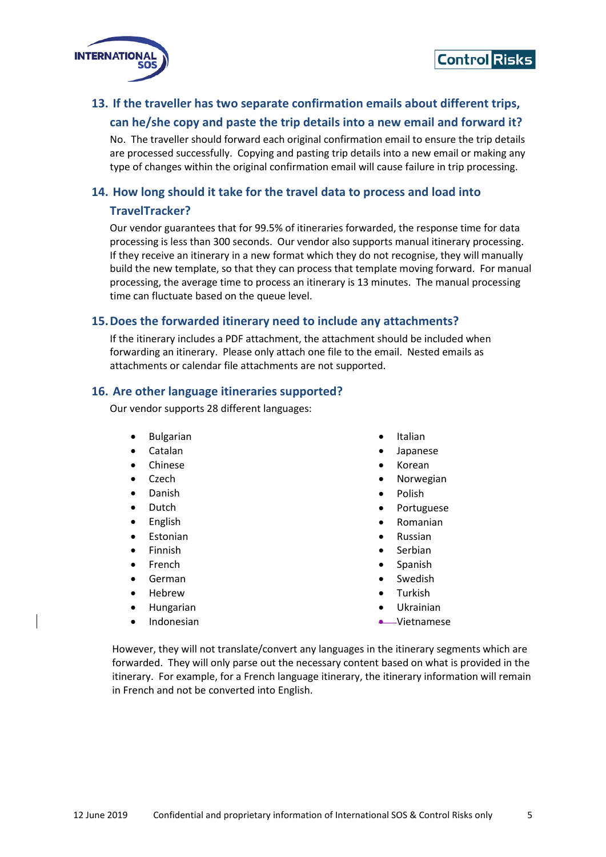



### <span id="page-4-0"></span>**13. If the traveller has two separate confirmation emails about different trips, can he/she copy and paste the trip details into a new email and forward it?**

No. The traveller should forward each original confirmation email to ensure the trip details are processed successfully. Copying and pasting trip details into a new email or making any type of changes within the original confirmation email will cause failure in trip processing.

#### <span id="page-4-1"></span>**14. How long should it take for the travel data to process and load into**

#### **TravelTracker?**

Our vendor guarantees that for 99.5% of itineraries forwarded, the response time for data processing is less than 300 seconds. Our vendor also supports manual itinerary processing. If they receive an itinerary in a new format which they do not recognise, they will manually build the new template, so that they can process that template moving forward. For manual processing, the average time to process an itinerary is 13 minutes. The manual processing time can fluctuate based on the queue level.

#### <span id="page-4-2"></span>**15.Does the forwarded itinerary need to include any attachments?**

If the itinerary includes a PDF attachment, the attachment should be included when forwarding an itinerary. Please only attach one file to the email. Nested emails as attachments or calendar file attachments are not supported.

#### <span id="page-4-3"></span>**16. Are other language itineraries supported?**

Our vendor supports 28 different languages:

- Bulgarian
- Catalan
- Chinese
- Czech
- Danish
- Dutch
- English
- **Estonian**
- Finnish
- **French**
- German
- Hebrew
- Hungarian
- Indonesian
- Italian
- Japanese
- Korean
- Norwegian
- Polish
- Portuguese
- Romanian
- Russian
- **Serbian**
- Spanish
- Swedish
- Turkish
- Ukrainian
- Vietnamese

However, they will not translate/convert any languages in the itinerary segments which are forwarded. They will only parse out the necessary content based on what is provided in the itinerary. For example, for a French language itinerary, the itinerary information will remain in French and not be converted into English.